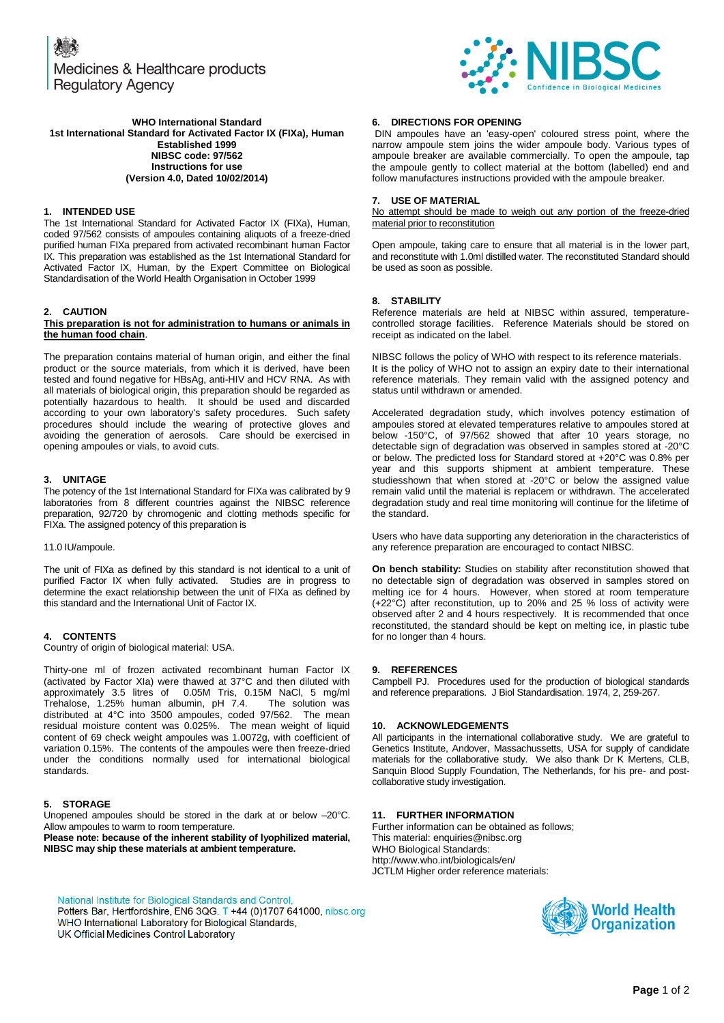Medicines & Healthcare products **Regulatory Agency** 



#### **WHO International Standard 1st International Standard for Activated Factor IX (FIXa), Human Established 1999 NIBSC code: 97/562 Instructions for use (Version 4.0, Dated 10/02/2014)**

## **1. INTENDED USE**

The 1st International Standard for Activated Factor IX (FIXa), Human, coded 97/562 consists of ampoules containing aliquots of a freeze-dried purified human FIXa prepared from activated recombinant human Factor IX. This preparation was established as the 1st International Standard for Activated Factor IX, Human, by the Expert Committee on Biological Standardisation of the World Health Organisation in October 1999

# **2. CAUTION**

#### **This preparation is not for administration to humans or animals in the human food chain**.

The preparation contains material of human origin, and either the final product or the source materials, from which it is derived, have been tested and found negative for HBsAg, anti-HIV and HCV RNA. As with all materials of biological origin, this preparation should be regarded as potentially hazardous to health. It should be used and discarded according to your own laboratory's safety procedures. Such safety procedures should include the wearing of protective gloves and avoiding the generation of aerosols. Care should be exercised in opening ampoules or vials, to avoid cuts.

#### **3. UNITAGE**

The potency of the 1st International Standard for FIXa was calibrated by 9 laboratories from 8 different countries against the NIBSC reference preparation, 92/720 by chromogenic and clotting methods specific for FIXa. The assigned potency of this preparation is

11.0 IU/ampoule.

The unit of FIXa as defined by this standard is not identical to a unit of purified Factor IX when fully activated. Studies are in progress to determine the exact relationship between the unit of FIXa as defined by this standard and the International Unit of Factor IX.

#### **4. CONTENTS**

Country of origin of biological material: USA.

Thirty-one ml of frozen activated recombinant human Factor IX (activated by Factor XIa) were thawed at 37°C and then diluted with approximately 3.5 litres of 0.05M Tris, 0.15M NaCl, 5 mg/ml<br>Trehalose, 1.25% human albumin, pH 7.4. The solution was Trehalose, 1.25% human albumin, pH 7.4. distributed at 4°C into 3500 ampoules, coded 97/562. The mean residual moisture content was 0.025%. The mean weight of liquid content of 69 check weight ampoules was 1.0072g, with coefficient of variation 0.15%. The contents of the ampoules were then freeze-dried under the conditions normally used for international biological standards.

# **5. STORAGE**

Unopened ampoules should be stored in the dark at or below –20°C. Allow ampoules to warm to room temperature.

**Please note: because of the inherent stability of lyophilized material, NIBSC may ship these materials at ambient temperature.**

National Institute for Biological Standards and Control, Potters Bar, Hertfordshire, EN6 3QG. T +44 (0)1707 641000, nibsc.org WHO International Laboratory for Biological Standards, UK Official Medicines Control Laboratory

#### **6. DIRECTIONS FOR OPENING**

DIN ampoules have an 'easy-open' coloured stress point, where the narrow ampoule stem joins the wider ampoule body. Various types of ampoule breaker are available commercially. To open the ampoule, tap the ampoule gently to collect material at the bottom (labelled) end and follow manufactures instructions provided with the ampoule breaker.

#### **7. USE OF MATERIAL**

No attempt should be made to weigh out any portion of the freeze-dried material prior to reconstitution

Open ampoule, taking care to ensure that all material is in the lower part, and reconstitute with 1.0ml distilled water. The reconstituted Standard should be used as soon as possible.

## **8. STABILITY**

Reference materials are held at NIBSC within assured, temperaturecontrolled storage facilities. Reference Materials should be stored on receipt as indicated on the label.

NIBSC follows the policy of WHO with respect to its reference materials. It is the policy of WHO not to assign an expiry date to their international reference materials. They remain valid with the assigned potency and status until withdrawn or amended.

Accelerated degradation study, which involves potency estimation of ampoules stored at elevated temperatures relative to ampoules stored at below -150°C, of 97/562 showed that after 10 years storage, no detectable sign of degradation was observed in samples stored at -20°C or below. The predicted loss for Standard stored at +20°C was 0.8% per year and this supports shipment at ambient temperature. These studiesshown that when stored at -20°C or below the assigned value remain valid until the material is replacem or withdrawn. The accelerated degradation study and real time monitoring will continue for the lifetime of the standard.

Users who have data supporting any deterioration in the characteristics of any reference preparation are encouraged to contact NIBSC.

**On bench stability:** Studies on stability after reconstitution showed that no detectable sign of degradation was observed in samples stored on melting ice for 4 hours. However, when stored at room temperature (+22°C) after reconstitution, up to 20% and 25 % loss of activity were observed after 2 and 4 hours respectively. It is recommended that once reconstituted, the standard should be kept on melting ice, in plastic tube for no longer than 4 hours.

#### **9. REFERENCES**

Campbell PJ. Procedures used for the production of biological standards and reference preparations. J Biol Standardisation. 1974, 2, 259-267.

#### **10. ACKNOWLEDGEMENTS**

All participants in the international collaborative study. We are grateful to Genetics Institute, Andover, Massachussetts, USA for supply of candidate materials for the collaborative study. We also thank Dr K Mertens, CLB, Sanquin Blood Supply Foundation, The Netherlands, for his pre- and postcollaborative study investigation.

## **11. FURTHER INFORMATION**

Further information can be obtained as follows; This material[: enquiries@nibsc.org](mailto:enquiries@nibsc.org) WHO Biological Standards: <http://www.who.int/biologicals/en/> JCTLM Higher order reference materials: